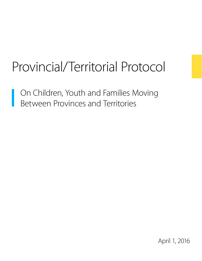# Provincial/Territorial Protocol

On Children, Youth and Families Moving Between Provinces and Territories

April 1, 2016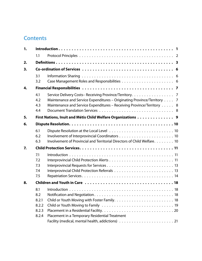# **Contents**

| 1. |                                                |                                                                                                                                                                                                            |  |  |  |
|----|------------------------------------------------|------------------------------------------------------------------------------------------------------------------------------------------------------------------------------------------------------------|--|--|--|
|    | 1.1                                            |                                                                                                                                                                                                            |  |  |  |
| 2. |                                                |                                                                                                                                                                                                            |  |  |  |
| 3. |                                                |                                                                                                                                                                                                            |  |  |  |
|    | 3.1<br>3.2                                     |                                                                                                                                                                                                            |  |  |  |
| 4. |                                                |                                                                                                                                                                                                            |  |  |  |
|    | 4.1<br>4.2<br>4.3<br>4.4                       | Service Delivery Costs-Receiving Province/Territory. 7<br>Maintenance and Service Expenditures - Originating Province/Territory 7<br>Maintenance and Service Expenditures - Receiving Province/Territory 8 |  |  |  |
| 5. |                                                | First Nations, Inuit and Métis Child Welfare Organizations 9                                                                                                                                               |  |  |  |
| 6. |                                                |                                                                                                                                                                                                            |  |  |  |
|    | 6.1<br>6.2<br>6.3                              | Involvement of Provincial and Territorial Directors of Child Welfare. 10                                                                                                                                   |  |  |  |
| 7. |                                                |                                                                                                                                                                                                            |  |  |  |
|    | 7.1<br>7.2<br>7.3<br>7.4<br>7.5                |                                                                                                                                                                                                            |  |  |  |
| 8. |                                                |                                                                                                                                                                                                            |  |  |  |
|    | 8.1<br>8.2<br>8.2.1<br>8.2.2<br>8.2.3<br>8.2.4 | Placement in a Temporary Residential Treatment                                                                                                                                                             |  |  |  |
|    |                                                |                                                                                                                                                                                                            |  |  |  |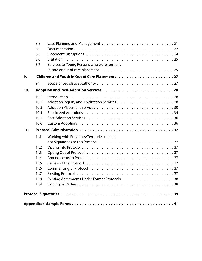|     | 8.3  |                                             |
|-----|------|---------------------------------------------|
|     | 8.4  |                                             |
|     | 8.5  |                                             |
|     | 8.6  |                                             |
|     | 8.7  | Services to Young Persons who were formerly |
|     |      |                                             |
| 9.  |      |                                             |
|     | 9.1  |                                             |
| 10. |      |                                             |
|     | 10.1 |                                             |
|     | 10.2 |                                             |
|     | 10.3 |                                             |
|     | 10.4 |                                             |
|     | 10.5 |                                             |
|     | 10.6 |                                             |
| 11. |      |                                             |
|     |      |                                             |
|     | 11.1 | Working with Provinces/Territories that are |
|     |      |                                             |
|     | 11.2 |                                             |
|     | 11.3 |                                             |
|     | 11.4 |                                             |
|     | 11.5 |                                             |
|     | 11.6 |                                             |
|     | 11.7 |                                             |
|     | 11.8 |                                             |
|     | 11.9 |                                             |
|     |      |                                             |
|     |      |                                             |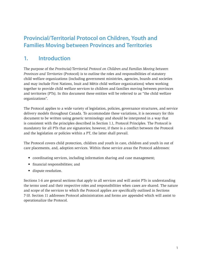# **Provincial/Territorial Protocol on Children, Youth and Families Moving between Provinces and Territories**

# **1. Introduction**

The purpose of the *Provincial/Territorial Protocol on Children and Families Moving between Provinces and Territories* (Protocol) is to outline the roles and responsibilities of statutory child welfare organizations (including government ministries, agencies, boards and societies and may include First Nations, Inuit and Métis child welfare organizations) when working together to provide child welfare services to children and families moving between provinces and territories (PTs). In this document these entities will be referred to as "the child welfare organizations".

The Protocol applies to a wide variety of legislation, policies, governance structures, and service delivery models throughout Canada. To accommodate these variations, it is necessary for this document to be written using generic terminology and should be interpreted in a way that is consistent with the principles described in Section 1.1, Protocol Principles. The Protocol is mandatory for all PTs that are signatories; however, if there is a conflict between the Protocol and the legislation or policies within a PT, the latter shall prevail.

The Protocol covers child protection, children and youth in care, children and youth in out of care placements, and, adoption services. Within these service areas the Protocol addresses:

- coordinating services, including information sharing and case management;
- financial responsibilities; and
- dispute resolution.

Sections 1-6 are general sections that apply to all services and will assist PTs in understanding the terms used and their respective roles and responsibilities when cases are shared. The nature and scope of the services to which the Protocol applies are specifically outlined in Sections 7-10. Section 11 addresses Protocol administration and forms are appended which will assist to operationalize the Protocol.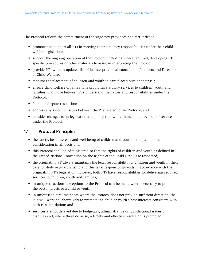The Protocol reflects the commitment of the signatory provinces and territories to:

- promote and support all PTs in meeting their statutory responsibilities under their child welfare legislation;
- support the ongoing operation of the Protocol, including where required, developing PT specific procedures or other materials to assist in interpreting the Protocol;
- provide PTs with an updated list of its interprovincial coordinators/contacts and Directors of Child Welfare;
- monitor the placement of children and youth in care placed outside their PT;
- ensure child welfare organizations providing statutory services to children, youth and families who move between PTs understand their roles and responsibilities under the Protocol;
- facilitate dispute resolution;
- address any systemic issues between the PTs related to the Protocol; and
- consider changes to its legislation and policy that will enhance the provision of services under the Protocol.

### **1.1 Protocol Principles**

- the safety, best interests and well-being of children and youth is the paramount consideration in all decisions;
- this Protocol shall be administered so that the rights of children and youth as defined in the United Nations Convention on the Rights of the Child (1990) are respected;
- the originating PT always maintains the legal responsibility for children and youth in their care, custody or guardianship and this legal responsibility ends in accordance with the originating PT's legislation; however, both PTs have responsibilities for delivering required services to children, youth and families;
- in unique situations, exceptions to the Protocol can be made where necessary to promote the best interests of a child or youth;
- in unforeseen circumstances where the Protocol does not provide sufficient direction, the PTs will work collaboratively to promote the child or youth's best interests consistent with both PTs' legislation; and
- services are not delayed due to budgetary, administrative or jurisdictional issues or disputes and, where these do arise, a timely and effective resolution is promoted.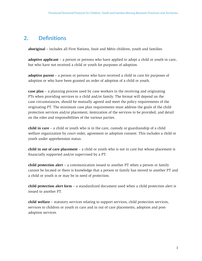# **2. Definitions**

**aboriginal** – includes all First Nations, Inuit and Métis children, youth and families.

**adoptive applicant** – a person or persons who have applied to adopt a child or youth in care, but who have not received a child or youth for purposes of adoption.

**adoptive parent** – a person or persons who have received a child in care for purposes of adoption or who have been granted an order of adoption of a child or youth.

**case plan** – a planning process used by case workers in the receiving and originating PTs when providing services to a child and/or family. The format will depend on the case circumstances, should be mutually agreed and meet the policy requirements of the originating PT. The minimum case plan requirements must address the goals of the child protection services and/or placement, itemization of the services to be provided, and detail on the roles and responsibilities of the various parties.

**child in care** – a child or youth who is in the care, custody or guardianship of a child welfare organization by court order, agreement or adoption consent. This includes a child or youth under apprehension status.

**child in out of care placement** – a child or youth who is not in care but whose placement is financially supported and/or supervised by a PT.

**child protection alert** – a communication issued to another PT when a person or family cannot be located or there is knowledge that a person or family has moved to another PT and a child or youth is or may be in need of protection.

**child protection alert form** – a standardized document used when a child protection alert is issued to another PT.

**child welfare** – statutory services relating to support services, child protection services, services to children or youth in care and in out of care placements, adoption and postadoption services.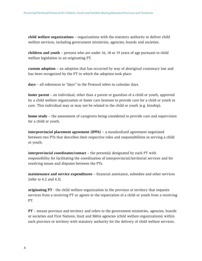**child welfare organizations** – organizations with the statutory authority to deliver child welfare services, including government ministries, agencies, boards and societies.

**children and youth** – persons who are under 16, 18 or 19 years of age pursuant to child welfare legislation in an originating PT.

**custom adoption** – an adoption that has occurred by way of aboriginal customary law and has been recognized by the PT in which the adoption took place.

**days** – all references to "days" in the Protocol refers to calendar days.

**foster parent** – an individual, other than a parent or guardian of a child or youth, approved by a child welfare organization or foster care licensee to provide care for a child or youth in care. This individual may or may not be related to the child or youth (e.g. kinship).

**home study** – the assessment of caregivers being considered to provide care and supervision for a child or youth.

**interprovincial placement agreement (IPPA)** – a standardized agreement negotiated between two PTs that describes their respective roles and responsibilities in serving a child or youth.

**interprovincial coordinator/contact** – the person(s) designated by each PT with responsibility for facilitating the coordination of interprovincial/territorial services and for resolving issues and disputes between the PTs.

**maintenance and service expenditures** – financial assistance, subsidies and other services (refer to 4.2 and 4.3).

**originating PT** - the child welfare organization in the province or territory that requests services from a receiving PT or agrees to the repatriation of a child or youth from a receiving PT.

**PT** – means province and territory and refers to the government ministries, agencies, boards or societies and First Nations, Inuit and Métis agencies (child welfare organizations) within each province or territory with statutory authority for the delivery of child welfare services.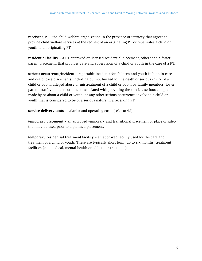**receiving PT** - the child welfare organization in the province or territory that agrees to provide child welfare services at the request of an originating PT or repatriates a child or youth to an originating PT.

**residential facility** – a PT approved or licensed residential placement, other than a foster parent placement, that provides care and supervision of a child or youth in the care of a PT.

**serious occurrence/incident** – reportable incidents for children and youth in both in care and out of care placements, including but not limited to: the death or serious injury of a child or youth; alleged abuse or mistreatment of a child or youth by family members, foster parent, staff, volunteers or others associated with providing the service; serious complaints made by or about a child or youth, or any other serious occurrence involving a child or youth that is considered to be of a serious nature in a receiving PT.

**service delivery costs** – salaries and operating costs (refer to 4.1)

**temporary placement** – an approved temporary and transitional placement or place of safety that may be used prior to a planned placement.

**temporary residential treatment facility** – an approved facility used for the care and treatment of a child or youth. These are typically short term (up to six months) treatment facilities (e.g. medical, mental health or addictions treatment).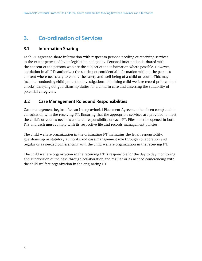# **3. Co-ordination of Services**

# **3.1 Information Sharing**

Each PT agrees to share information with respect to persons needing or receiving services to the extent permitted by its legislation and policy. Personal information is shared with the consent of the persons who are the subject of the information where possible. However, legislation in all PTs authorizes the sharing of confidential information without the person's consent where necessary to ensure the safety and well-being of a child or youth. This may include, conducting child protection investigations, obtaining child welfare record prior contact checks, carrying out guardianship duties for a child in care and assessing the suitability of potential caregivers.

# **3.2 Case Management Roles and Responsibilities**

Case management begins after an Interprovincial Placement Agreement has been completed in consultation with the receiving PT. Ensuring that the appropriate services are provided to meet the child's or youth's needs is a shared responsibility of each PT. Files must be opened in both PTs and each must comply with its respective file and records management policies.

The child welfare organization in the originating PT maintains the legal responsibility, guardianship or statutory authority and case management role through collaboration and regular or as needed conferencing with the child welfare organization in the receiving PT.

The child welfare organization in the receiving PT is responsible for the day to day monitoring and supervision of the case through collaboration and regular or as needed conferencing with the child welfare organization in the originating PT.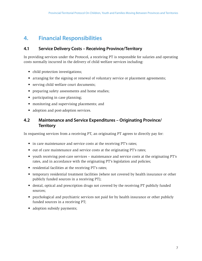# **4. Financial Responsibilities**

# **4.1 Service Delivery Costs – Receiving Province/Territory**

In providing services under the Protocol, a receiving PT is responsible for salaries and operating costs normally incurred in the delivery of child welfare services including:

- child protection investigations;
- arranging for the signing or renewal of voluntary service or placement agreements;
- serving child welfare court documents;
- preparing safety assessments and home studies;
- participating in case planning;
- monitoring and supervising placements; and
- adoption and post-adoption services.

# **4.2 Maintenance and Service Expenditures – Originating Province/ Territory**

In requesting services from a receiving PT, an originating PT agrees to directly pay for:

- in care maintenance and service costs at the receiving PT's rates;
- out of care maintenance and service costs at the originating PT's rates;
- youth receiving post-care services maintenance and service costs at the originating PT's rates, and in accordance with the originating PT's legislation and policies;
- residential facilities at the receiving PT's rates;
- temporary residential treatment facilities (where not covered by health insurance or other publicly funded sources in a receiving PT);
- dental, optical and prescription drugs not covered by the receiving PT publicly funded sources;
- psychological and psychiatric services not paid for by health insurance or other publicly funded sources in a receiving PT;
- adoption subsidy payments;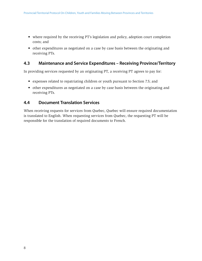- where required by the receiving PT's legislation and policy, adoption court completion costs; and
- other expenditures as negotiated on a case by case basis between the originating and receiving PTs.

### **4.3 Maintenance and Service Expenditures – Receiving Province/Territory**

In providing services requested by an originating PT, a receiving PT agrees to pay for:

- expenses related to repatriating children or youth pursuant to Section 7.5; and
- other expenditures as negotiated on a case by case basis between the originating and receiving PTs.

### **4.4 Document Translation Services**

When receiving requests for services from Quebec, Quebec will ensure required documentation is translated to English. When requesting services from Quebec, the requesting PT will be responsible for the translation of required documents to French.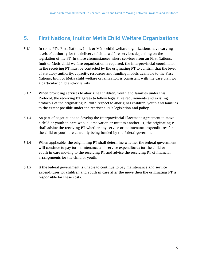# **5. First Nations, Inuit or Métis Child Welfare Organizations**

- 5.1.1 In some PTs, First Nations, Inuit or Métis child welfare organizations have varying levels of authority for the delivery of child welfare services depending on the legislation of the PT. In those circumstances where services from an First Nations, Inuit or Métis child welfare organization is required, the interprovincial coordinator in the receiving PT must be contacted by the originating PT to confirm that the level of statutory authority, capacity, resources and funding models available to the First Nations, Inuit or Métis child welfare organization is consistent with the case plan for a particular child and/or family.
- 5.1.2 When providing services to aboriginal children, youth and families under this Protocol, the receiving PT agrees to follow legislative requirements and existing protocols of the originating PT with respect to aboriginal children, youth and families to the extent possible under the receiving PT's legislation and policy.
- 5.1.3 As part of negotiations to develop the Interprovincial Placement Agreement to move a child or youth in care who is First Nation or Inuit to another PT, the originating PT shall advise the receiving PT whether any service or maintenance expenditures for the child or youth are currently being funded by the federal government.
- 5.1.4 When applicable, the originating PT shall determine whether the federal government will continue to pay for maintenance and service expenditures for the child or youth in care moving to the receiving PT and advise the receiving PT of financial arrangements for the child or youth.
- 5.1.5 If the federal government is unable to continue to pay maintenance and service expenditures for children and youth in care after the move then the originating PT is responsible for these costs.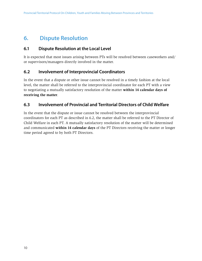# **6. Dispute Resolution**

# **6.1 Dispute Resolution at the Local Level**

It is expected that most issues arising between PTs will be resolved between caseworkers and/ or supervisors/managers directly involved in the matter.

# **6.2 Involvement of Interprovincial Coordinators**

In the event that a dispute or other issue cannot be resolved in a timely fashion at the local level, the matter shall be referred to the interprovincial coordinator for each PT with a view to negotiating a mutually satisfactory resolution of the matter **within 14 calendar days of receiving the matter**.

# **6.3 Involvement of Provincial and Territorial Directors of Child Welfare**

In the event that the dispute or issue cannot be resolved between the interprovincial coordinators for each PT as described in 6.2, the matter shall be referred to the PT Director of Child Welfare in each PT. A mutually satisfactory resolution of the matter will be determined and communicated **within 14 calendar days** of the PT Directors receiving the matter or longer time period agreed to by both PT Directors.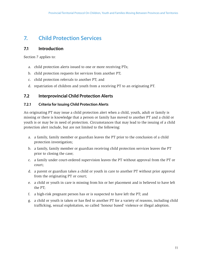# **7. Child Protection Services**

# **7.1 Introduction**

Section 7 applies to:

- a. child protection alerts issued to one or more receiving PTs;
- b. child protection requests for services from another PT;
- c. child protection referrals to another PT; and
- d. repatriation of children and youth from a receiving PT to an originating PT.

# **7.2 Interprovincial Child Protection Alerts**

#### **7.2.1 Criteria for Issuing Child Protection Alerts**

An originating PT may issue a child protection alert when a child, youth, adult or family is missing or there is knowledge that a person or family has moved to another PT and a child or youth is or may be in need of protection. Circumstances that may lead to the issuing of a child protection alert include, but are not limited to the following:

- a. a family, family member or guardian leaves the PT prior to the conclusion of a child protection investigation;
- b. a family, family member or guardian receiving child protection services leaves the PT prior to closing the case;
- c. a family under court-ordered supervision leaves the PT without approval from the PT or court;
- d. a parent or guardian takes a child or youth in care to another PT without prior approval from the originating PT or court;
- e. a child or youth in care is missing from his or her placement and is believed to have left the PT;
- f. a high-risk pregnant person has or is suspected to have left the PT; and
- g. a child or youth is taken or has fled to another PT for a variety of reasons, including child trafficking, sexual exploitation, so called 'honour based' violence or illegal adoption.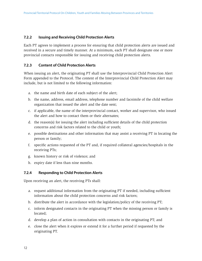#### **7.2.2 Issuing and Receiving Child Protection Alerts**

Each PT agrees to implement a process for ensuring that child protection alerts are issued and received in a secure and timely manner. At a minimum, each PT shall designate one or more provincial contacts responsible for issuing and receiving child protection alerts.

#### **7.2.3 Content of Child Protection Alerts**

When issuing an alert, the originating PT shall use the Interprovincial Child Protection Alert Form appended to the Protocol. The content of the Interprovincial Child Protection Alert may include, but is not limited to the following information:

- a. the name and birth date of each subject of the alert;
- b. the name, address, email address, telephone number and facsimile of the child welfare organization that issued the alert and the date sent;
- c. if applicable, the name of the interprovincial contact, worker and supervisor, who issued the alert and how to contact them or their alternates;
- d. the reason(s) for issuing the alert including sufficient details of the child protection concerns and risk factors related to the child or youth;
- e. possible destinations and other information that may assist a receiving PT in locating the person or family;
- f. specific actions requested of the PT and, if required collateral agencies/hospitals in the receiving PTs;
- g. known history or risk of violence; and
- h. expiry date if less than nine months.

#### **7.2.4 Responding to Child Protection Alerts**

Upon receiving an alert, the receiving PTs shall:

- a. request additional information from the originating PT if needed, including sufficient information about the child protection concerns and risk factors;
- b. distribute the alert in accordance with the legislation/policy of the receiving PT;
- c. inform designated contacts in the originating PT when the missing person or family is located;
- d. develop a plan of action in consultation with contacts in the originating PT; and
- e. close the alert when it expires or extend it for a further period if requested by the originating PT.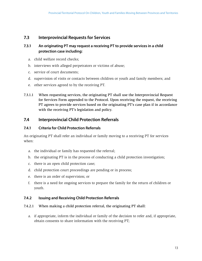# **7.3 Interprovincial Requests for Services**

### **7.3.1 An originating PT may request a receiving PT to provide services in a child protection case including:**

- a. child welfare record checks;
- b. interviews with alleged perpetrators or victims of abuse;
- c. service of court documents;
- d. supervision of visits or contacts between children or youth and family members; and
- e. other services agreed to by the receiving PT.
- 7.3.1.1 When requesting services, the originating PT shall use the Interprovincial Request for Services Form appended to the Protocol. Upon receiving the request, the receiving PT agrees to provide services based on the originating PT's case plan if in accordance with the receiving PT's legislation and policy.

# **7.4 Interprovincial Child Protection Referrals**

#### **7.4.1 Criteria for Child Protection Referrals**

An originating PT shall refer an individual or family moving to a receiving PT for services when:

- a. the individual or family has requested the referral;
- b. the originating PT is in the process of conducting a child protection investigation;
- c. there is an open child protection case;
- d. child protection court proceedings are pending or in process;
- e. there is an order of supervision; or
- f. there is a need for ongoing services to prepare the family for the return of children or youth.

### **7.4.2 Issuing and Receiving Child Protection Referrals**

#### 7.4.2.1 When making a child protection referral, the originating PT shall:

a. if appropriate, inform the individual or family of the decision to refer and, if appropriate, obtain consents to share information with the receiving PT;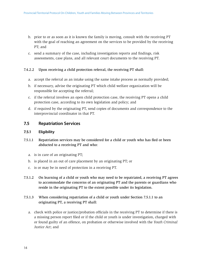- b. prior to or as soon as it is known the family is moving, consult with the receiving PT with the goal of reaching an agreement on the services to be provided by the receiving PT; and
- c. send a summary of the case, including investigation reports and findings, risk assessments, case plans, and all relevant court documents to the receiving PT.

#### 7.4.2.2 Upon receiving a child protection referral, the receiving PT shall:

- a. accept the referral as an intake using the same intake process as normally provided;
- b. if necessary, advise the originating PT which child welfare organization will be responsible for accepting the referral;
- c. if the referral involves an open child protection case, the receiving PT opens a child protection case, according to its own legislation and policy; and
- d. if required by the originating PT, send copies of documents and correspondence to the interprovincial coordinator in that PT.

### **7.5 Repatriation Services**

#### **7.5.1 Eligibility**

- 7.5.1.1 Repatriation services may be considered for a child or youth who has fled or been abducted to a receiving PT and who:
	- a. is in care of an originating PT;
	- b. is placed in an out of care placement by an originating PT; or
	- c. is or may be in need of protection in a receiving PT.
- 7.5.1.2 On learning of a child or youth who may need to be repatriated, a receiving PT agrees to accommodate the concerns of an originating PT and the parents or guardians who reside in the originating PT to the extent possible under its legislation.
- 7.5.1.3 When considering repatriation of a child or youth under Section 7.5.1.1 to an originating PT, a receiving PT shall:
	- a. check with police or justice/probation officials in the receiving PT to determine if there is a missing person report filed or if the child or youth is under investigation, charged with or found guilty of an offence, on probation or otherwise involved with the *Youth Criminal Justice Act*; and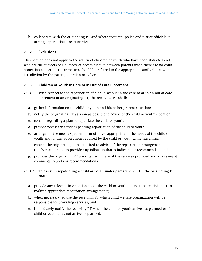b. collaborate with the originating PT and where required, police and justice officials to arrange appropriate escort services.

#### **7.5.2 Exclusions**

This Section does not apply to the return of children or youth who have been abducted and who are the subjects of a custody or access dispute between parents when there are no child protection concerns. These matters should be referred to the appropriate Family Court with jurisdiction by the parent, guardian or police.

#### **7.5.3 Children or Youth in Care or in Out of Care Placement**

- 7.5.3.1 With respect to the repatriation of a child who is in the care of or in an out of care placement of an originating PT, the receiving PT shall:
	- a. gather information on the child or youth and his or her present situation;
	- b. notify the originating PT as soon as possible to advise of the child or youth's location;
	- c. consult regarding a plan to repatriate the child or youth;
	- d. provide necessary services pending repatriation of the child or youth;
	- e. arrange for the most expedient form of travel appropriate to the needs of the child or youth and for any supervision required by the child or youth while travelling;
	- f. contact the originating PT as required to advise of the repatriation arrangements in a timely manner and to provide any follow-up that is indicated or recommended; and
	- g. provides the originating PT a written summary of the services provided and any relevant comments, reports or recommendations.

#### 7.5.3.2 To assist in repatriating a child or youth under paragraph 7.5.3.1, the originating PT shall:

- a. provide any relevant information about the child or youth to assist the receiving PT in making appropriate repatriation arrangements;
- b. when necessary, advise the receiving PT which child welfare organization will be responsible for providing services; and
- c. immediately notify the receiving PT when the child or youth arrives as planned or if a child or youth does not arrive as planned.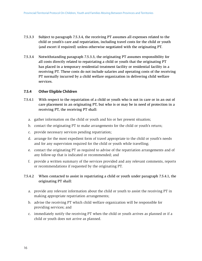- 7.5.3.3 Subject to paragraph 7.5.3.4, the receiving PT assumes all expenses related to the child or youth's care and repatriation, including travel costs for the child or youth (and escort if required) unless otherwise negotiated with the originating PT.
- 7.5.3.4 Notwithstanding paragraph 7.5.3.3, the originating PT assumes responsibility for all costs directly related to repatriating a child or youth that the originating PT has placed in a temporary residential treatment facility or residential facility in a receiving PT. These costs do not include salaries and operating costs of the receiving PT normally incurred by a child welfare organization in delivering child welfare services.

#### **7.5.4 Other Eligible Children**

- 7.5.4.1 With respect to the repatriation of a child or youth who is not in care or in an out of care placement in an originating PT, but who is or may be in need of protection in a receiving PT, the receiving PT shall:
	- a. gather information on the child or youth and his or her present situation;
	- b. contact the originating PT to make arrangements for the child or youth's return;
	- c. provide necessary services pending repatriation;
	- d. arrange for the most expedient form of travel appropriate to the child or youth's needs and for any supervision required for the child or youth while travelling;
	- e. contact the originating PT as required to advise of the repatriation arrangements and of any follow-up that is indicated or recommended; and
	- f. provide a written summary of the services provided and any relevant comments, reports or recommendations if requested by the originating PT.

#### 7.5.4.2 When contacted to assist in repatriating a child or youth under paragraph 7.5.4.1, the originating PT shall:

- a. provide any relevant information about the child or youth to assist the receiving PT in making appropriate repatriation arrangements;
- b. advise the receiving PT which child welfare organization will be responsible for providing services; and
- c. immediately notify the receiving PT when the child or youth arrives as planned or if a child or youth does not arrive as planned.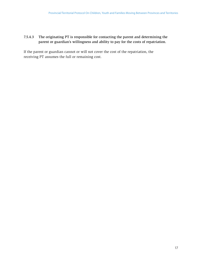7.5.4.3 The originating PT is responsible for contacting the parent and determining the parent or guardian's willingness and ability to pay for the costs of repatriation.

If the parent or guardian cannot or will not cover the cost of the repatriation, the receiving PT assumes the full or remaining cost.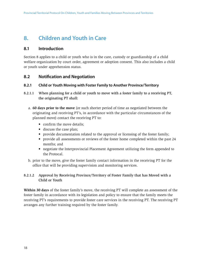# **8. Children and Youth in Care**

### **8.1 Introduction**

Section 8 applies to a child or youth who is in the care, custody or guardianship of a child welfare organization by court order, agreement or adoption consent. This also includes a child or youth under apprehension status.

### **8.2 Notification and Negotiation**

#### **8.2.1 Child or Youth Moving with Foster Family to Another Province/Territory**

- 8.2.1.1 When planning for a child or youth to move with a foster family to a receiving PT, the originating PT shall:
	- a. **60 days prior to the move** (or such shorter period of time as negotiated between the originating and receiving PT's, in accordance with the particular circumstances of the planned move) contact the receiving PT to:
		- confirm the move details:
		- discuss the case plan;
		- provide documentation related to the approval or licensing of the foster family;
		- provide all assessments or reviews of the foster home completed within the past 24 months; and
		- negotiate the Interprovincial Placement Agreement utilizing the form appended to the Protocal.
	- b. prior to the move, give the foster family contact information in the receiving PT for the office that will be providing supervision and monitoring services.

#### 8.2.1.2 Approval by Receiving Province/Territory of Foster Family that has Moved with a Child or Youth

**Within 30 days** of the foster family's move, the receiving PT will complete an assessment of the foster family in accordance with its legislation and policy to ensure that the family meets the receiving PT's requirements to provide foster care services in the receiving PT. The receiving PT arranges any further training required by the foster family.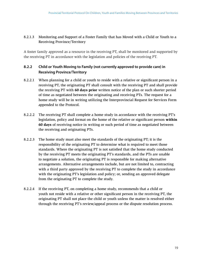#### 8.2.1.3 Monitoring and Support of a Foster Family that has Moved with a Child or Youth to a Receiving Province/Territory

A foster family approved as a resource in the receiving PT, shall be monitored and supported by the receiving PT in accordance with the legislation and policies of the receiving PT.

### **8.2.2 Child or Youth Moving to Family (not currently approved to provide care) in Receiving Province/Territory**

- 8.2.2.1 When planning for a child or youth to reside with a relative or significant person in a receiving PT, the originating PT shall consult with the receiving PT and shall provide the receiving PT with 60 days prior written notice of the plan or such shorter period of time as negotiated between the originating and receiving PTs. The request for a home study will be in writing utilizing the Interprovincial Request for Services Form appended to the Protocol.
- 8.2.2.2 The receiving PT shall complete a home study in accordance with the receiving PT's legislation, policy and format on the home of the relative or significant person within 60 days of receiving notice in writing or such period of time as negotiated between the receiving and originating PTs.
- 8.2.2.3 The home study must also meet the standards of the originating PT; it is the responsibility of the originating PT to determine what is required to meet those standards. Where the originating PT is not satisfied that the home study conducted by the receiving PT meets the originating PT's standards, and the PTs are unable to negotiate a solution, the originating PT is responsible for making alternative arrangements. Alternative arrangements include, but are not limited to, contracting with a third party approved by the receiving PT to complete the study in accordance with the originating PT's legislation and policy; or, sending an approved delegate from the originating PT to complete the study.
- 8.2.2.4 If the receiving PT, on completing a home study, recommends that a child or youth not reside with a relative or other significant person in the receiving PT, the originating PT shall not place the child or youth unless the matter is resolved either through the receiving PT's review/appeal process or the dispute resolution process.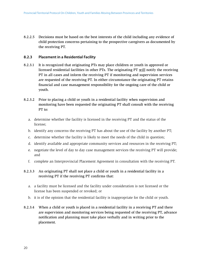8.2.2.5 Decisions must be based on the best interests of the child including any evidence of child protection concerns pertaining to the prospective caregivers as documented by the receiving PT.

#### **8.2.3 Placement in a Residential Facility**

- 8.2.3.1 It is recognized that originating PTs may place children or youth in approved or licensed residential facilities in other PTs. The originating PT will notify the receiving PT in all cases and inform the receiving PT if monitoring and supervision services are requested of the receiving PT. In either circumstance the originating PT retains financial and case management responsibility for the ongoing care of the child or youth.
- 8.2.3.2 Prior to placing a child or youth in a residential facility when supervision and monitoring have been requested the originating PT shall consult with the receiving PT to:
	- a. determine whether the facility is licensed in the receiving PT and the status of the license;
	- b. identify any concerns the receiving PT has about the use of the facility by another PT;
	- c. determine whether the facility is likely to meet the needs of the child in question;
	- d. identify available and appropriate community services and resources in the receiving PT;
	- e. negotiate the level of day to day case management services the receiving PT will provide; and
	- f. complete an Interprovincial Placement Agreement in consultation with the receiving PT.

#### 8.2.3.3 An originating PT shall not place a child or youth in a residential facility in a receiving PT if the receiving PT confirms that:

- a. a facility must be licensed and the facility under consideration is not licensed or the license has been suspended or revoked; or
- b. it is of the opinion that the residential facility is inappropriate for the child or youth.
- 8.2.3.4 When a child or youth is placed in a residential facility in a receiving PT and there are supervision and monitoring services being requested of the receiving PT, advance notification and planning must take place verbally and in writing prior to the placement.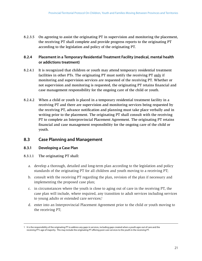8.2.3.5 On agreeing to assist the originating PT in supervision and monitoring the placement, the receiving PT shall complete and provide progress reports to the originating PT according to the legislation and policy of the originating PT.

### **8.2.4 Placement in a Temporary Residential Treatment Facility (medical, mental health or addictions treatment)**

- 8.2.4.1 It is recognized that children or youth may attend temporary residential treatment facilities in other PTs. The originating PT must notify the receiving PT only if monitoring and supervision services are requested of the receiving PT. Whether or not supervision and monitoring is requested, the originating PT retains financial and case management responsibility for the ongoing care of the child or youth.
- 8.2.4.2 When a child or youth is placed in a temporary residential treatment facility in a receiving PT and there are supervision and monitoring services being requested by the receiving PT, advance notification and planning must take place verbally and in writing prior to the placement. The originating PT shall consult with the receiving PT to complete an Interprovincial Placement Agreement. The originating PT retains financial and case management responsibility for the ongoing care of the child or youth.

# **8.3 Case Planning and Management**

### **8.3.1 Developing a Case Plan**

- 8.3.1.1 The originating PT shall:
	- a. develop a thorough, detailed and long-term plan according to the legislation and policy standards of the originating PT for all children and youth moving to a receiving PT;
	- b. consult with the receiving PT regarding the plan, revision of the plan if necessary and implementing the proposed case plan;
	- c. in circumstances where the youth is close to aging out of care in the receiving PT, the case plan will include, where required, any transition to adult services including services to young adults or extended care services;<sup>1</sup>
	- d. enter into an Interprovincial Placement Agreement prior to the child or youth moving to the receiving PT;

<sup>1</sup> It is the responsibility of the originating PT to address any gaps in services, including gaps created when a youth ages out of care and the receiving PT's age of majority. This may include the originating PT offering post-care services to the youth in the receiving PT.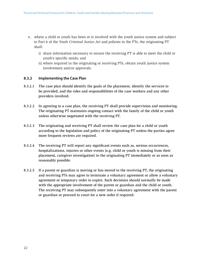- e. where a child or youth has been or is involved with the youth justice system and subject to Part 6 of the *Youth Criminal Justice Act* and policies in the PTs, the originating PT shall:
	- i) share information necessary to ensure the receiving PT is able to meet the child or youth's specific needs; and
	- ii) where required in the originating or receiving PTs, obtain youth justice system involvement and/or approvals.

#### **8.3.2 Implementing the Case Plan**

- 8.3.2.1 The case plan should identify the goals of the placement, identify the services to be provided, and the roles and responsibilities of the case workers and any other providers involved.
- 8.3.2.2 In agreeing to a case plan, the receiving PT shall provide supervision and monitoring. The originating PT maintains ongoing contact with the family of the child or youth unless otherwise negotiated with the receiving PT.
- 8.3.2.3 The originating and receiving PT shall review the case plan for a child or youth according to the legislation and policy of the originating PT unless the parties agree more frequent reviews are required.
- 8.3.2.4 The receiving PT will report any significant events such as, serious occurrences, hospitalizations, injuries or other events (e.g. child or youth is missing from their placement, caregiver investigation) to the originating PT immediately or as soon as reasonably possible.
- 8.3.2.5 If a parent or guardian is moving or has moved to the receiving PT, the originating and receiving PTs may agree to terminate a voluntary agreement or allow a voluntary agreement or temporary order to expire. Such decisions should normally be made with the appropriate involvement of the parent or guardian and the child or youth. The receiving PT may subsequently enter into a voluntary agreement with the parent or guardian or proceed to court for a new order if required.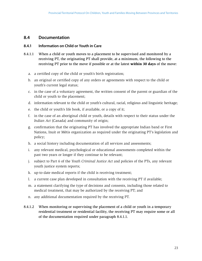### **8.4 Documentation**

#### **8.4.1 Information on Child or Youth in Care**

- 8.4.1.1 When a child or youth moves to a placement to be supervised and monitored by a receiving PT, the originating PT shall provide, at a minimum, the following to the receiving PT prior to the move if possible or at the latest within 30 days of the move:
	- a. a certified copy of the child or youth's birth registration;
	- b. an original or certified copy of any orders or agreements with respect to the child or youth's current legal status;
	- c. in the case of a voluntary agreement, the written consent of the parent or guardian of the child or youth to the placement;
	- d. information relevant to the child or youth's cultural, racial, religious and linguistic heritage;
	- e. the child or youth's life book, if available, or a copy of it;
	- f. in the case of an aboriginal child or youth, details with respect to their status under the *Indian Act* (Canada) and community of origin;
	- g. confirmation that the originating PT has involved the appropriate Indian band or First Nations, Inuit or Métis organization as required under the originating PT's legislation and policy;
	- h. a social history including documentation of all services and assessments;
	- i. any relevant medical, psychological or educational assessments completed within the past two years or longer if they continue to be relevant;
	- j. subject to Part 6 of the *Youth Criminal Justice Act* and policies of the PTs, any relevant youth justice system reports;
	- k. up-to-date medical reports if the child is receiving treatment;
	- l. a current case plan developed in consultation with the receiving PT if available;
	- m. a statement clarifying the type of decisions and consents, including those related to medical treatment, that may be authorized by the receiving PT; and
	- n. any additional documentation required by the receiving PT.
- 8.4.1.2 When monitoring or supervising the placement of a child or youth in a temporary residential treatment or residential facility, the receiving PT may require some or all of the documentation required under paragraph 8.4.1.1.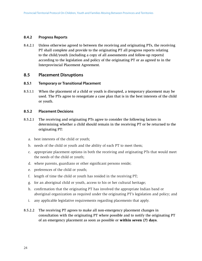#### **8.4.2 Progress Reports**

8.4.2.1 Unless otherwise agreed to between the receiving and originating PTs, the receiving PT shall complete and provide to the originating PT all progress reports relating to the child/youth (including a copy of all assessments and follow-up reports) according to the legislation and policy of the originating PT or as agreed to in the Interprovincial Placement Agreement.

#### **8.5 Placement Disruptions**

#### **8.5.1 Temporary or Transitional Placement**

8.5.1.1 When the placement of a child or youth is disrupted, a temporary placement may be used. The PTs agree to renegotiate a case plan that is in the best interests of the child or youth.

#### **8.5.2 Placement Decisions**

- 8.5.2.1 The receiving and originating PTs agree to consider the following factors in determining whether a child should remain in the receiving PT or be returned to the originating PT:
	- a. best interests of the child or youth;
	- b. needs of the child or youth and the ability of each PT to meet them;
	- c. appropriate placement options in both the receiving and originating PTs that would meet the needs of the child or youth;
	- d. where parents, guardians or other significant persons reside;
	- e. preferences of the child or youth;
	- f. length of time the child or youth has resided in the receiving PT;
	- g. for an aboriginal child or youth, access to his or her cultural heritage;
	- h. confirmation that the originating PT has involved the appropriate Indian band or aboriginal organization as required under the originating PT's legislation and policy; and
	- i. any applicable legislative requirements regarding placements that apply.
- 8.5.2.2 The receiving PT agrees to make all non-emergency placement changes in consultation with the originating PT where possible and to notify the originating PT of an emergency placement as soon as possible or within seven (7) days.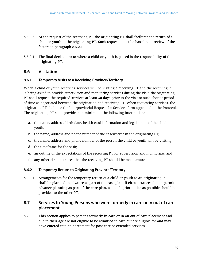- 8.5.2.3 At the request of the receiving PT, the originating PT shall facilitate the return of a child or youth to the originating PT. Such requests must be based on a review of the factors in paragraph 8.5.2.1.
- 8.5.2.4 The final decision as to where a child or youth is placed is the responsibility of the originating PT.

# **8.6 Visitation**

#### **8.6.1 Temporary Visits to a Receiving Province/Territory**

When a child or youth receiving services will be visiting a receiving PT and the receiving PT is being asked to provide supervision and monitoring services during the visit, the originating PT shall request the required services **at least 30 days prior** to the visit or such shorter period of time as negotiated between the originating and receiving PT. When requesting services, the originating PT shall use the Interprovincial Request for Services form appended to the Protocol. The originating PT shall provide, at a minimum, the following information:

- a. the name, address, birth date, health card information and legal status of the child or youth;
- b. the name, address and phone number of the caseworker in the originating PT;
- c. the name, address and phone number of the person the child or youth will be visiting;
- d. the timeframe for the visit;
- e. an outline of the expectations of the receiving PT for supervision and monitoring; and
- f. any other circumstances that the receiving PT should be made aware.

### **8.6.2 Temporary Return to Originating Province/Territory**

8.6.2.1 Arrangements for the temporary return of a child or youth to an originating PT shall be planned in advance as part of the case plan. If circumstances do not permit advance planning as part of the case plan, as much prior notice as possible should be provided to the other PT.

# **8.7 Services to Young Persons who were formerly in care or in out of care placement**

8.7.1 This section applies to persons formerly in care or in an out of care placement and due to their age are not eligible to be admitted to care but are eligible for and may have entered into an agreement for post care or extended services.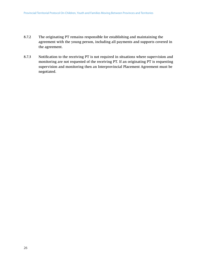- 8.7.2 The originating PT remains responsible for establishing and maintaining the agreement with the young person, including all payments and supports covered in the agreement.
- 8.7.3 Notification to the receiving PT is not required in situations where supervision and monitoring are not requested of the receiving PT. If an originating PT is requesting supervision and monitoring then an Interprovincial Placement Agreement must be negotiated.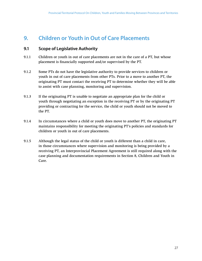# **9. Children or Youth in Out of Care Placements**

### **9.1 Scope of Legislative Authority**

- 9.1.1 Children or youth in out of care placements are not in the care of a PT, but whose placement is financially supported and/or supervised by the PT.
- 9.1.2 Some PTs do not have the legislative authority to provide services to children or youth in out of care placements from other PTs. Prior to a move to another PT, the originating PT must contact the receiving PT to determine whether they will be able to assist with case planning, monitoring and supervision.
- 9.1.3 If the originating PT is unable to negotiate an appropriate plan for the child or youth through negotiating an exception in the receiving PT or by the originating PT providing or contracting for the service, the child or youth should not be moved to the PT.
- 9.1.4 In circumstances where a child or youth does move to another PT, the originating PT maintains responsibility for meeting the originating PT's policies and standards for children or youth in out of care placements.
- 9.1.5 Although the legal status of the child or youth is different than a child in care, in those circumstances where supervision and monitoring is being provided by a receiving PT, an Interprovincial Placement Agreement is still required along with the case planning and documentation requirements in Section 8, Children and Youth in Care.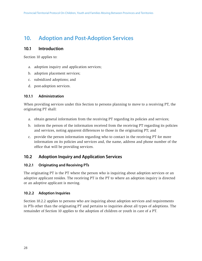# **10. Adoption and Post-Adoption Services**

### **10.1 Introduction**

Section 10 applies to:

- a. adoption inquiry and application services;
- b. adoption placement services;
- c. subsidized adoptions; and
- d. post-adoption services.

#### **10.1.1 Administration**

When providing services under this Section to persons planning to move to a receiving PT, the originating PT shall:

- a. obtain general information from the receiving PT regarding its policies and services;
- b. inform the person of the information received from the receiving PT regarding its policies and services, noting apparent differences to those in the originating PT; and
- c. provide the person information regarding who to contact in the receiving PT for more information on its policies and services and, the name, address and phone number of the office that will be providing services.

# **10.2 Adoption Inquiry and Application Services**

#### **10.2.1 Originating and Receiving PTs**

The originating PT is the PT where the person who is inquiring about adoption services or an adoptive applicant resides. The receiving PT is the PT to where an adoption inquiry is directed or an adoptive applicant is moving.

#### **10.2.2 Adoption Inquiries**

Section 10.2.2 applies to persons who are inquiring about adoption services and requirements in PTs other than the originating PT and pertains to inquiries about all types of adoptions. The remainder of Section 10 applies to the adoption of children or youth in care of a PT.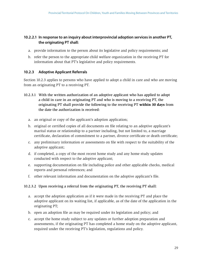### **10.2.2.1 In response to an inquiry about interprovincial adoption services in another PT, the originating PT shall:**

- a. provide information to the person about its legislative and policy requirements; and
- b. refer the person to the appropriate child welfare organization in the receiving PT for information about that PT's legislative and policy requirements.

### **10.2.3 Adoptive Applicant Referrals**

Section 10.2.3 applies to persons who have applied to adopt a child in care and who are moving from an originating PT to a receiving PT.

- 10.2.3.1 With the written authorization of an adoptive applicant who has applied to adopt a child in care in an originating PT and who is moving to a receiving PT, the originating PT shall provide the following to the receiving PT within 30 days from the date the authorization is received:
	- a. an original or copy of the applicant's adoption application;
	- b. original or certified copies of all documents on file relating to an adoptive applicant's marital status or relationship to a partner including, but not limited to, a marriage certificate, declaration of commitment to a partner, divorce certificate or death certificate;
	- c. any preliminary information or assessments on file with respect to the suitability of the adoptive applicant;
	- d. if completed, a copy of the most recent home study and any home study updates conducted with respect to the adoptive applicant;
	- e. supporting documentation on file including police and other applicable checks, medical reports and personal references; and
	- f. other relevant information and documentation on the adoptive applicant's file.

### 10.2.3.2 Upon receiving a referral from the originating PT, the receiving PT shall:

- a. accept the adoption application as if it were made in the receiving PT and place the adoptive applicant on its waiting list, if applicable, as of the date of the application in the originating PT;
- b. open an adoption file as may be required under its legislation and policy; and
- c. accept the home study subject to any updates or further adoption preparation and assessments, if the originating PT has completed a home study on the adoptive applicant, required under the receiving PT's legislation, regulations and policy.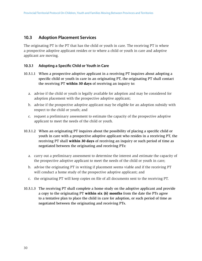# **10.3 Adoption Placement Services**

The originating PT is the PT that has the child or youth in care. The receiving PT is where a prospective adoptive applicant resides or to where a child or youth in care and adoptive applicant are moving.

#### **10.3.1 Adopting a Specific Child or Youth in Care**

- 10.3.1.1 When a prospective adoptive applicant in a receiving PT inquires about adopting a specific child or youth in care in an originating PT, the originating PT shall contact the receiving PT within 30 days of receiving an inquiry to:
	- a. advise if the child or youth is legally available for adoption and may be considered for adoption placement with the prospective adoptive applicant;
	- b. advise if the prospective adoptive applicant may be eligible for an adoption subsidy with respect to the child or youth; and
	- c. request a preliminary assessment to estimate the capacity of the prospective adoptive applicant to meet the needs of the child or youth.
- 10.3.1.2 When an originating PT inquires about the possibility of placing a specific child or youth in care with a prospective adoptive applicant who resides in a receiving PT, the receiving PT shall within 30 days of receiving an inquiry or such period of time as negotiated between the originating and receiving PTs:
	- a. carry out a preliminary assessment to determine the interest and estimate the capacity of the prospective adoptive applicant to meet the needs of the child or youth in care;
	- b. advise the originating PT in writing if placement seems viable and if the receiving PT will conduct a home study of the prospective adoptive applicant; and
	- c. the originating PT will keep copies on file of all documents sent to the receiving PT.
- 10.3.1.3 The receiving PT shall complete a home study on the adoptive applicant and provide a copy to the originating PT within six (6) months from the date the PTs agree to a tentative plan to place the child in care for adoption, or such period of time as negotiated between the originating and receiving PTs.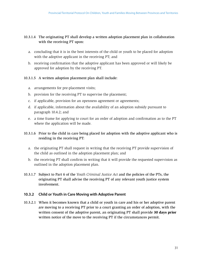#### 10.3.1.4 The originating PT shall develop a written adoption placement plan in collaboration with the receiving PT upon:

- a. concluding that it is in the best interests of the child or youth to be placed for adoption with the adoptive applicant in the receiving PT; and
- b. receiving confirmation that the adoptive applicant has been approved or will likely be approved for adoption by the receiving PT.

#### 10.3.1.5 A written adoption placement plan shall include:

- a. arrangements for pre-placement visits;
- b. provision for the receiving PT to supervise the placement;
- c. if applicable, provision for an openness agreement or agreements;
- d. if applicable, information about the availability of an adoption subsidy pursuant to paragraph 10.4.2; and
- e. a time frame for applying to court for an order of adoption and confirmation as to the PT where the application will be made.

### 10.3.1.6 Prior to the child in care being placed for adoption with the adoptive applicant who is residing in the receiving PT:

- a. the originating PT shall request in writing that the receiving PT provide supervision of the child as outlined in the adoption placement plan; and
- b. the receiving PT shall confirm in writing that it will provide the requested supervision as outlined in the adoption placement plan.
- 10.3.1.7 Subject to Part 6 of the *Youth Criminal Justice Act* and the policies of the PTs, the originating PT shall advise the receiving PT of any relevant youth justice system involvement.

### **10.3.2 Child or Youth in Care Moving with Adoptive Parent**

10.3.2.1 When it becomes known that a child or youth in care and his or her adoptive parent are moving to a receiving PT prior to a court granting an order of adoption, with the written consent of the adoptive parent, an originating PT shall provide 30 days prior written notice of the move to the receiving PT if the circumstances permit.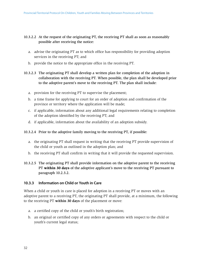- 10.3.2.2 At the request of the originating PT, the receiving PT shall as soon as reasonably possible after receiving the notice:
	- a. advise the originating PT as to which office has responsibility for providing adoption services in the receiving PT; and
	- b. provide the notice to the appropriate office in the receiving PT.
- 10.3.2.3 The originating PT shall develop a written plan for completion of the adoption in collaboration with the receiving PT. When possible, the plan shall be developed prior to the adoptive parent's move to the receiving PT. The plan shall include:
	- a. provision for the receiving PT to supervise the placement;
	- b. a time frame for applying to court for an order of adoption and confirmation of the province or territory where the application will be made;
	- c. if applicable, information about any additional legal requirements relating to completion of the adoption identified by the receiving PT; and
	- d. if applicable, information about the availability of an adoption subsidy.

#### 10.3.2.4 Prior to the adoptive family moving to the receiving PT, if possible:

- a. the originating PT shall request in writing that the receiving PT provide supervision of the child or youth as outlined in the adoption plan; and
- b. the receiving PT shall confirm in writing that it will provide the requested supervision.
- 10.3.2.5 The originating PT shall provide information on the adoptive parent to the receiving PT within 30 days of the adoptive applicant's move to the receiving PT pursuant to paragraph 10.2.3.2.

#### **10.3.3 Information on Child or Youth in Care**

When a child or youth in care is placed for adoption in a receiving PT or moves with an adoptive parent to a receiving PT, the originating PT shall provide, at a minimum, the following to the receiving PT **within 30 days** of the placement or move:

- a. a certified copy of the child or youth's birth registration;
- b. an original or certified copy of any orders or agreements with respect to the child or youth's current legal status;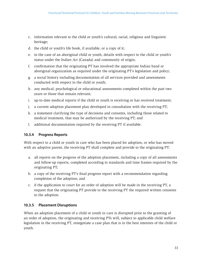- c. information relevant to the child or youth's cultural, racial, religious and linguistic heritage;
- d. the child or youth's life book, if available, or a copy of it;
- e. in the case of an aboriginal child or youth, details with respect to the child or youth's status under the *Indian Act* (Canada) and community of origin;
- f. confirmation that the originating PT has involved the appropriate Indian band or aboriginal organization as required under the originating PT's legislation and policy;
- g. a social history including documentation of all services provided and assessments conducted with respect to the child or youth;
- h. any medical, psychological or educational assessments completed within the past two years or those that remain relevant;
- i. up-to-date medical reports if the child or youth is receiving or has received treatment;
- j. a current adoption placement plan developed in consultation with the receiving PT;
- k. a statement clarifying the type of decisions and consents, including those related to medical treatment, that may be authorized by the receiving PT; and
- l. additional documentation required by the receiving PT if available.

#### **10.3.4 Progress Reports**

With respect to a child or youth in care who has been placed for adoption, or who has moved with an adoptive parent, the receiving PT shall complete and provide to the originating PT:

- a. all reports on the progress of the adoption placement, including a copy of all assessments and follow-up reports, completed according to standards and time frames required by the originating PT;
- b. a copy of the receiving PT's final progress report with a recommendation regarding completion of the adoption; and
- c. if the application to court for an order of adoption will be made in the receiving PT, a request that the originating PT provide to the receiving PT the required written consents to the adoption.

### **10.3.5 Placement Disruptions**

When an adoption placement of a child or youth in care is disrupted prior to the granting of an order of adoption, the originating and receiving PTs will, subject to applicable child welfare legislation in the receiving PT, renegotiate a case plan that is in the best interests of the child or youth.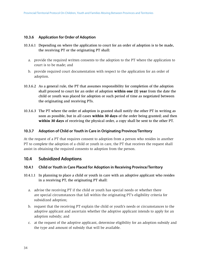#### **10.3.6 Application for Order of Adoption**

- 10.3.6.1 Depending on where the application to court for an order of adoption is to be made, the receiving PT or the originating PT shall:
	- a. provide the required written consents to the adoption to the PT where the application to court is to be made; and
	- b. provide required court documentation with respect to the application for an order of adoption.
- 10.3.6.2 As a general rule, the PT that assumes responsibility for completion of the adoption shall proceed to court for an order of adoption within one (1) year from the date the child or youth was placed for adoption or such period of time as negotiated between the originating and receiving PTs.
- 10.3.6.3 The PT where the order of adoption is granted shall notify the other PT in writing as soon as possible, but in all cases within 30 days of the order being granted; and then within 30 days of receiving the physical order, a copy shall be sent to the other PT.

#### **10.3.7 Adoption of Child or Youth in Care in Originating Province/Territory**

At the request of a PT that requires consent to adoption from a person who resides in another PT to complete the adoption of a child or youth in care, the PT that receives the request shall assist in obtaining the required consents to adoption from the person.

### **10.4 Subsidized Adoptions**

#### **10.4.1 Child or Youth in Care Placed for Adoption in Receiving Province/Territory**

- 10.4.1.1 In planning to place a child or youth in care with an adoptive applicant who resides in a receiving PT, the originating PT shall:
	- a. advise the receiving PT if the child or youth has special needs or whether there are special circumstances that fall within the originating PT's eligibility criteria for subsidized adoption;
	- b. request that the receiving PT explain the child or youth's needs or circumstances to the adoptive applicant and ascertain whether the adoptive applicant intends to apply for an adoption subsidy; and
	- c. at the request of the adoptive applicant, determine eligibility for an adoption subsidy and the type and amount of subsidy that will be available.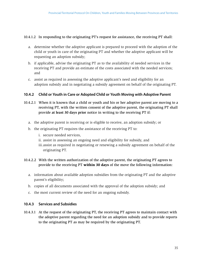10.4.1.2 In responding to the originating PT's request for assistance, the receiving PT shall:

- a. determine whether the adoptive applicant is prepared to proceed with the adoption of the child or youth in care of the originating PT and whether the adoptive applicant will be requesting an adoption subsidy;
- b. if applicable, advise the originating PT as to the availability of needed services in the receiving PT and provide an estimate of the costs associated with the needed services; and
- c. assist as required in assessing the adoptive applicant's need and eligibility for an adoption subsidy and in negotiating a subsidy agreement on behalf of the originating PT.

#### **10.4.2 Child or Youth in Care or Adopted Child or Youth Moving with Adoptive Parent**

- 10.4.2.1 When it is known that a child or youth and his or her adoptive parent are moving to a receiving PT, with the written consent of the adoptive parent, the originating PT shall provide **at least 30 days prior** notice in writing to the receiving PT if:
	- a. the adoptive parent is receiving or is eligible to receive, an adoption subsidy; or
	- b. the originating PT requires the assistance of the receiving PT to:
		- i. secure needed services,
		- ii. assist in assessing an ongoing need and eligibility for subsidy, and
		- iii.assist as required in negotiating or renewing a subsidy agreement on behalf of the originating PT.

#### 10.4.2.2 With the written authorization of the adoptive parent, the originating PT agrees to provide to the receiving PT within 30 days of the move the following information:

- a. information about available adoption subsidies from the originating PT and the adoptive parent's eligibility;
- b. copies of all documents associated with the approval of the adoption subsidy; and
- c. the most current review of the need for an ongoing subsidy.

#### **10.4.3 Services and Subsidies**

10.4.3.1 At the request of the originating PT, the receiving PT agrees to maintain contact with the adoptive parent regarding the need for an adoption subsidy and to provide reports to the originating PT as may be required by the originating PT.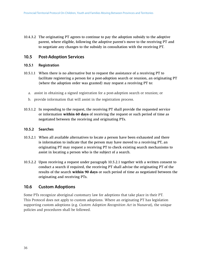10.4.3.2 The originating PT agrees to continue to pay the adoption subsidy to the adoptive parent, where eligible, following the adoptive parent's move to the receiving PT and to negotiate any changes to the subsidy in consultation with the receiving PT.

### **10.5 Post-Adoption Services**

#### **10.5.1 Registration**

- 10.5.1.1 When there is no alternative but to request the assistance of a receiving PT to facilitate registering a person for a post-adoption search or reunion, an originating PT (where the adoption order was granted) may request a receiving PT to:
	- a. assist in obtaining a signed registration for a post-adoption search or reunion; or
	- b. provide information that will assist in the registration process.
- 10.5.1.2 In responding to the request, the receiving PT shall provide the requested service or information within 60 days of receiving the request or such period of time as negotiated between the receiving and originating PTs.

#### **10.5.2 Searches**

- 10.5.2.1 When all available alternatives to locate a person have been exhausted and there is information to indicate that the person may have moved to a receiving PT, an originating PT may request a receiving PT to check existing search mechanisms to assist in locating a person who is the subject of a search.
- 10.5.2.2 Upon receiving a request under paragraph 10.5.2.1 together with a written consent to conduct a search if required, the receiving PT shall advise the originating PT of the results of the search within 90 days or such period of time as negotiated between the originating and receiving PTs.

### **10.6 Custom Adoptions**

Some PTs recognize aboriginal customary law for adoptions that take place in their PT. This Protocol does not apply to custom adoptions. Where an originating PT has legislation supporting custom adoptions (e.g. *Custom Adoption Recognition Act* in Nunavut), the unique policies and procedures shall be followed.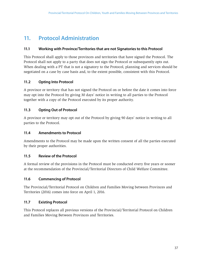# **11. Protocol Administration**

#### **11.1 Working with Province/Territories that are not Signatories to this Protocol**

This Protocol shall apply to those provinces and territories that have signed the Protocol. The Protocol shall not apply to a party that does not sign the Protocol or subsequently opts out. When dealing with a PT that is not a signatory to the Protocol, planning and services should be negotiated on a case by case basis and, to the extent possible, consistent with this Protocol.

### **11.2 Opting Into Protocol**

A province or territory that has not signed the Protocol on or before the date it comes into force may opt into the Protocol by giving 30 days' notice in writing to all parties to the Protocol together with a copy of the Protocol executed by its proper authority.

### **11.3 Opting Out of Protocol**

A province or territory may opt out of the Protocol by giving 90 days' notice in writing to all parties to the Protocol.

### **11.4 Amendments to Protocol**

Amendments to the Protocol may be made upon the written consent of all the parties executed by their proper authorities.

### **11.5 Review of the Protocol**

A formal review of the provisions in the Protocol must be conducted every five years or sooner at the recommendation of the Provincial/Territorial Directors of Child Welfare Committee.

# **11.6 Commencing of Protocol**

The Provincial/Territorial Protocol on Children and Families Moving between Provinces and Territories (2016) comes into force on April 1, 2016.

# **11.7 Existing Protocol**

This Protocol replaces all previous versions of the Provincial/Territorial Protocol on Children and Families Moving Between Provinces and Territories.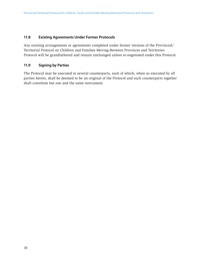#### **11.8 Existing Agreements Under Former Protocols**

Any existing arrangements or agreements completed under former versions of the Provincial/ Territorial Protocol on Children and Families Moving Between Provinces and Territories Protocol will be grandfathered and remain unchanged unless re-negotiated under this Protocol.

#### **11.9 Signing by Parties**

The Protocol may be executed in several counterparts, each of which, when so executed by all parties hereto, shall be deemed to be an original of the Protocol and such counterparts together shall constitute but one and the same instrument.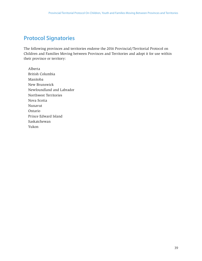# **Protocol Signatories**

The following provinces and territories endorse the 2016 Provincial/Territorial Protocol on Children and Families Moving between Provinces and Territories and adopt it for use within their province or territory:

Alberta British Columbia Manitoba New Brunswick Newfoundland and Labrador Northwest Territories Nova Scotia Nunavut Ontario Prince Edward Island Saskatchewan Yukon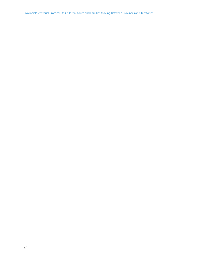Provincial/Territorial Protocol On Children, Youth and Families Moving Between Provinces and Territories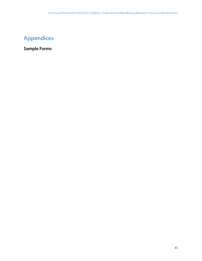# **Appendices**

**Sample Forms**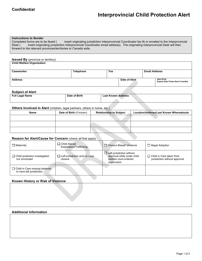# **Interprovincial Child Protection Alert**

**Instructions to Sender** insert originating jurisdiction Interprovincial Coordinator fax #) or emailed to the Interprovincial Desk ( insert originating jurisdiction Interprovincial Coordinator email address). The originating Interprovincial Desk will then forward to the relevant provinces/territories or Canada wide.

#### **Issued By** (province or territory)

| <b>Child Welfare Organization</b> |                  |     |               |                      |                                                 |
|-----------------------------------|------------------|-----|---------------|----------------------|-------------------------------------------------|
| <b>Caseworker</b>                 | <b>Telephone</b> | Fax |               | <b>Email Address</b> |                                                 |
|                                   |                  |     |               |                      |                                                 |
| <b>Address</b>                    |                  |     | Date of Alert |                      | Alert End/<br>Expiry Date if less than 9 months |

#### **Subject of Alert**

| <b>Full Legal Name</b> | Date of Birth | <b>Last Known Address</b> |  |  |  |
|------------------------|---------------|---------------------------|--|--|--|
|                        |               |                           |  |  |  |
|                        |               |                           |  |  |  |

#### **Others Involved in Alert** (children, legal partners, others in home, etc.)

| Name | <b>Date of Birth (if known)</b> | <b>Relationship to Subject</b> | <b>Location/Address/Last Known Whereabouts</b> |
|------|---------------------------------|--------------------------------|------------------------------------------------|
|      |                                 |                                |                                                |
|      |                                 |                                |                                                |
|      |                                 |                                |                                                |

#### **Reason for Alert/Cause for Concern** (check *all* that apply)

| $\Box$ Maternity                                              | □ Child Sexual<br>Exploitation/Trafficking        | Honour-Based' Violence                                                                                 | $\Box$ Illegal Adoption                                          |
|---------------------------------------------------------------|---------------------------------------------------|--------------------------------------------------------------------------------------------------------|------------------------------------------------------------------|
| $\Box$ Child protection investigation<br>not concluded        | $\Box$ Left jurisdiction prior to case<br>closure | $\Box$ Left jurisdiction without<br>approval while under child<br>welfare court-ordered<br>supervision | $\Box$ Child in Care taken from<br>jurisdiction without approval |
| □ Child in Care missing believed<br>to have left jurisdiction |                                                   |                                                                                                        |                                                                  |

#### **Known History or Risk of Violence**

#### **Additional Information**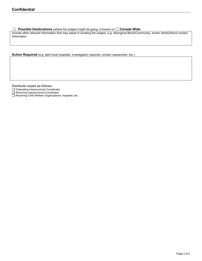□ Possible Destinations (where the subject might be going, if known) or □ Canada Wide

Include other relevant information that may assist in locating the subject, e.g. Aboriginal Band/Community, known family/friend contact information

#### **Action Required** (e.g. alert local hospitals, investigation required, contact caseworker, etc.)

Distribute copies as follows:

Originating Interprovincial Coordinator

Receiving Interprovincial Coordinator

Receiving Child Welfare Organizations, hospitals, etc.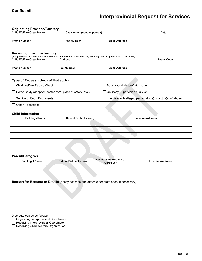# **Interprovincial Request for Services**

#### **Originating Province/Territory**

| <b>Child Welfare Organization</b> | Caseworker (contact person) |                      | Date |
|-----------------------------------|-----------------------------|----------------------|------|
|                                   |                             |                      |      |
| <b>Phone Number</b>               | <b>Fax Number</b>           | <b>Email Address</b> |      |
|                                   |                             |                      |      |
|                                   |                             |                      |      |

#### **Receiving Province/Territory**

| (Interprovincial Coordinator will complete this information prior to forwarding to the regional designate if you do not know) |                   |                      |  |  |  |
|-------------------------------------------------------------------------------------------------------------------------------|-------------------|----------------------|--|--|--|
| <b>Child Welfare Organization</b>                                                                                             | <b>Address</b>    | <b>Postal Code</b>   |  |  |  |
|                                                                                                                               |                   |                      |  |  |  |
|                                                                                                                               |                   |                      |  |  |  |
| <b>Phone Number</b>                                                                                                           | <b>Fax Number</b> | <b>Email Address</b> |  |  |  |
|                                                                                                                               |                   |                      |  |  |  |

#### **Type of Request** (check *all* that apply)

| Child Welfare Record Check                                       | Background History/Information                                     |
|------------------------------------------------------------------|--------------------------------------------------------------------|
| $\Box$ Home Study (adoption, foster care, place of safety, etc.) | □ Courtesy Supervision of a Visit                                  |
| □ Service of Court Documents                                     | $\Box$ Interview with alleged perpetrator(s) or victim(s) of abuse |
| $\Box$ Other – describe:                                         |                                                                    |

#### **Child Information**

| <b>Full Legal Name</b> | Date of Birth (if known) | <b>Location/Address</b> |
|------------------------|--------------------------|-------------------------|
|                        |                          |                         |
|                        |                          |                         |
|                        |                          |                         |
|                        |                          |                         |
|                        |                          |                         |

#### **Parent/Caregiver**

| <b>Full Legal Name</b> | Date of Birth (if known) | <b>Relationship to Child or</b><br>Caregiver | <b>Location/Address</b> |
|------------------------|--------------------------|----------------------------------------------|-------------------------|
|                        |                          |                                              |                         |
|                        |                          |                                              |                         |

**Reason for Request or Details** (briefly describe and attach a separate sheet if necessary)

Distribute copies as follows:

Originating Interprovincial Coordinator

Receiving Interprovincial Coordinator

 $\overline{\Box}$  Receiving Child Welfare Organization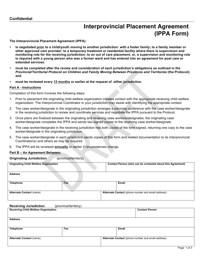# **Interprovincial Placement Agreement (IPPA Form)**

#### **The Interprovincial Placement Agreement (IPPA):**

- **is negotiated prior to a child/youth moving to another jurisdiction: with a foster family; to a family member or other approved care provider; to a temporary treatment or residential facility where there is supervision and monitoring role for the receiving jurisdiction; to an out of care placement; or, a supervision and monitoring role is required with a young person who was a former ward and has entered into an agreement for post care or extended services.**
- **must be completed after the review and consideration of each jurisdiction's obligations as outlined in the**  *Provincial/Territorial Protocol on Children and Family Moving Between Provinces and Territories* **(the Protocol); and**
- **must be reviewed every 12 months or earlier at the request of either jurisdiction.**

#### **Part A - Instructions**

Completion of this form involves the following steps:

- 1. Prior to placement the originating child welfare organization initiates contact with the appropriate receiving child welfare organization. The Interprovincial Coordinator in your jurisdiction may assist with identifying the appropriate contact.
- 2. The case worker/designate in the originating jurisdiction arranges a planning conference with the case worker/designate in the receiving jurisdiction to review and coordinate services and negotiate the IPPA pursuant to the Protocol.
- 3. Once plans are finalized between the originating and receiving case workers/designates, the originating case worker/designate completes the IPPA and sends two signed copies to the receiving case worker/designate.
- 4. The case worker/designate in the receiving jurisdiction has both copies of the form signed, returning one copy to the case worker/designate in the originating jurisdiction.
- 5. The case worker/designate in each jurisdiction sends copies of this form and related documentation to its Interprovincial Coordinator(s) and others as may be required.
- 6. The IPPA will be reviewed **annually** or earlier if circumstances change.

#### **Part B – An Agreement Between:**

#### **Originating Jurisdiction** (province/territory)

| <b>Originating Child Welfare Organization</b> |     |                                                    | Contact Person (who can be contacted about this Agreement) |
|-----------------------------------------------|-----|----------------------------------------------------|------------------------------------------------------------|
| <b>Address</b>                                |     |                                                    |                                                            |
| <b>Telephone</b>                              | Fax |                                                    | Email                                                      |
| <b>Alternate Contact (name)</b>               |     | Alternate Contact (phone number and email address) |                                                            |

#### **Receiving Jurisdiction** (province/territory)

| <b>Receiving Child Welfare Organization</b> | . . |       | <b>Contact Person</b>                              |
|---------------------------------------------|-----|-------|----------------------------------------------------|
|                                             |     |       |                                                    |
|                                             |     |       |                                                    |
| <b>Address</b>                              |     |       |                                                    |
|                                             |     |       |                                                    |
|                                             |     |       |                                                    |
| <b>Telephone</b>                            | Fax | Email |                                                    |
|                                             |     |       |                                                    |
|                                             |     |       |                                                    |
| <b>Alternate Contact (name)</b>             |     |       | Alternate Contact (phone number and email address) |
|                                             |     |       |                                                    |
|                                             |     |       |                                                    |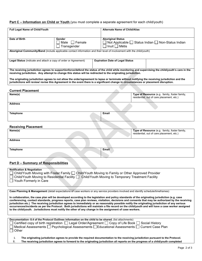#### **Part C – Information on Child or Youth** (you must complete a separate agreement for each child/youth)

| <b>Full Legal Name of Child/Youth</b>                                                                                                 | <b>Alternate Name of Child/Alias</b>                                                                                                               |  |
|---------------------------------------------------------------------------------------------------------------------------------------|----------------------------------------------------------------------------------------------------------------------------------------------------|--|
|                                                                                                                                       |                                                                                                                                                    |  |
| Date of Birth<br>Gender<br>Male $\Box$ Female<br>Transgender                                                                          | <b>Aboriginal Status</b><br>Not Applicable □ Status Indian □ Non-Status Indian<br>Inuit $\Box$ Métis                                               |  |
| Aboriginal Community/Band (include applicable contact information and their level of involvement with the child/youth)                |                                                                                                                                                    |  |
|                                                                                                                                       |                                                                                                                                                    |  |
| Legal Status (indicate and attach a copy of order or Agreement)                                                                       | <b>Expiration Date of Legal Status</b>                                                                                                             |  |
| receiving jurisdiction. Any attempt to change this status will be redirected to the originating jurisdiction.                         | The receiving jurisdiction agrees to support/enforce/defend the status of the child while monitoring and supervising the child/youth's care in the |  |
| jurisdictions will review/ revise this Agreement in the event there is a significant change in circumstances or placement disruption. | The originating jurisdiction agrees to not allow the order/agreement to lapse or terminate without notifying the receiving jurisdiction and the    |  |
| <b>Current Placement</b>                                                                                                              |                                                                                                                                                    |  |
| Name(s)                                                                                                                               | Type of Resource (e.g. family, foster family,<br>residential, out of care placement, etc.)                                                         |  |
| <b>Address</b>                                                                                                                        |                                                                                                                                                    |  |
| <b>Telephone</b>                                                                                                                      | <b>Email</b>                                                                                                                                       |  |
| <b>Receiving Placement</b>                                                                                                            |                                                                                                                                                    |  |
| Name(s)                                                                                                                               | Type of Resource (e.g. family, foster family,<br>residential, out of care placement, etc.)                                                         |  |
| <b>Address</b>                                                                                                                        |                                                                                                                                                    |  |
| <b>Telephone</b>                                                                                                                      | <b>Email</b>                                                                                                                                       |  |

#### **Part D – Summary of Responsibilities**

| <b>Notification &amp; Negotiation</b>                                                                       |
|-------------------------------------------------------------------------------------------------------------|
| □ Child/Youth Moving with Foster Family □ Child/Youth Moving to Family or Other Approved Provider           |
| $\Box$ Child/Youth Moving to Residential Facility $\Box$ Child/Youth Moving to Temporary Treatment Facility |
| $\Box$ Youth Formerly in Care                                                                               |
|                                                                                                             |

**Case Planning & Management** (detail expectations of case workers or any service providers involved and identify schedule/timeframes)

**In collaboration, the case plan will be developed according to the legislation and policy standards of the originating jurisdiction (e.g. case conferencing, contact standards, progress reports, case plan reviews, visitation, decisions and consents that may be authorized by the receiving jurisdiction etc.) The receiving jurisdiction agrees to immediately or as reasonably possible notify the originating jurisdiction of any serious occurrences/incidents as per the Protocol. Both jurisdictions will maintain a file record on the child/youth and will have a case worker assigned to the child/youth. Jurisdictions must notify the other of any change in the assignment of case workers.** 

| Documentation - 8.4 of the Protocol Outlines information on the child to be shared. (list attachments)                  |
|-------------------------------------------------------------------------------------------------------------------------|
| $\Box$ Certified copy of birth registration $\Box$ Legal Order/Agreement $\Box$ Copy of Life Book $\Box$ Social History |
| $\Box$ Medical Assessments $\Box$ Psychological Assessments $\Box$ Educational Assessments $\Box$ Current Case Plan     |
| □ Other                                                                                                                 |
|                                                                                                                         |

**i. The originating jurisdiction agrees to provide the required documentation to the receiving jurisdiction pursuant to the Protocol.** ii. **The receiving jurisdiction agrees to forward to the originating jurisdiction all reports on the progress of a child/youth completed**